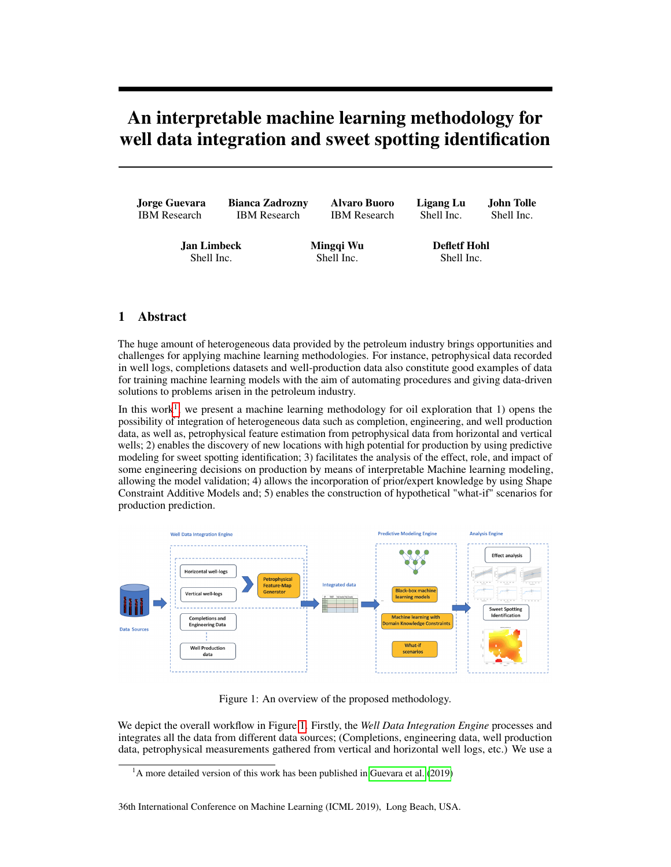## An interpretable machine learning methodology for well data integration and sweet spotting identification

| <b>Jorge Guevara</b>             | <b>Bianca Zadrozny</b> | Alvaro Buoro            | Ligang Lu                         | John Tolle |
|----------------------------------|------------------------|-------------------------|-----------------------------------|------------|
| <b>IBM</b> Research              | <b>IBM</b> Research    | <b>IBM</b> Research     | Shell Inc.                        | Shell Inc. |
| <b>Jan Limbeck</b><br>Shell Inc. |                        | Mingqi Wu<br>Shell Inc. | <b>Defletf Hohl</b><br>Shell Inc. |            |

## 1 Abstract

The huge amount of heterogeneous data provided by the petroleum industry brings opportunities and challenges for applying machine learning methodologies. For instance, petrophysical data recorded in well logs, completions datasets and well-production data also constitute good examples of data for training machine learning models with the aim of automating procedures and giving data-driven solutions to problems arisen in the petroleum industry.

In this work<sup>[1](#page-0-0)</sup>, we present a machine learning methodology for oil exploration that 1) opens the possibility of integration of heterogeneous data such as completion, engineering, and well production data, as well as, petrophysical feature estimation from petrophysical data from horizontal and vertical wells; 2) enables the discovery of new locations with high potential for production by using predictive modeling for sweet spotting identification; 3) facilitates the analysis of the effect, role, and impact of some engineering decisions on production by means of interpretable Machine learning modeling, allowing the model validation; 4) allows the incorporation of prior/expert knowledge by using Shape Constraint Additive Models and; 5) enables the construction of hypothetical "what-if" scenarios for production prediction.



<span id="page-0-1"></span>Figure 1: An overview of the proposed methodology.

We depict the overall workflow in Figure [1.](#page-0-1) Firstly, the *Well Data Integration Engine* processes and integrates all the data from different data sources; (Completions, engineering data, well production data, petrophysical measurements gathered from vertical and horizontal well logs, etc.) We use a

<span id="page-0-0"></span> $<sup>1</sup>A$  more detailed version of this work has been published in [Guevara et al.](#page-1-0) [\(2019\)](#page-1-0)</sup>

<sup>36</sup>th International Conference on Machine Learning (ICML 2019), Long Beach, USA.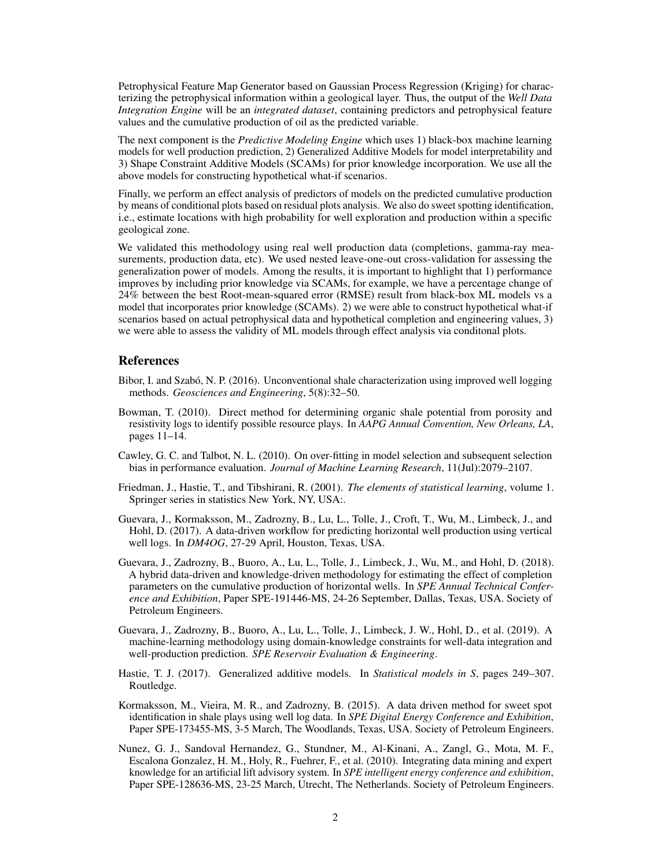Petrophysical Feature Map Generator based on Gaussian Process Regression (Kriging) for characterizing the petrophysical information within a geological layer. Thus, the output of the *Well Data Integration Engine* will be an *integrated dataset*, containing predictors and petrophysical feature values and the cumulative production of oil as the predicted variable.

The next component is the *Predictive Modeling Engine* which uses 1) black-box machine learning models for well production prediction, 2) Generalized Additive Models for model interpretability and 3) Shape Constraint Additive Models (SCAMs) for prior knowledge incorporation. We use all the above models for constructing hypothetical what-if scenarios.

Finally, we perform an effect analysis of predictors of models on the predicted cumulative production by means of conditional plots based on residual plots analysis. We also do sweet spotting identification, i.e., estimate locations with high probability for well exploration and production within a specific geological zone.

We validated this methodology using real well production data (completions, gamma-ray measurements, production data, etc). We used nested leave-one-out cross-validation for assessing the generalization power of models. Among the results, it is important to highlight that 1) performance improves by including prior knowledge via SCAMs, for example, we have a percentage change of 24% between the best Root-mean-squared error (RMSE) result from black-box ML models vs a model that incorporates prior knowledge (SCAMs). 2) we were able to construct hypothetical what-if scenarios based on actual petrophysical data and hypothetical completion and engineering values, 3) we were able to assess the validity of ML models through effect analysis via conditonal plots.

## References

- Bibor, I. and Szabó, N. P. (2016). Unconventional shale characterization using improved well logging methods. *Geosciences and Engineering*, 5(8):32–50.
- Bowman, T. (2010). Direct method for determining organic shale potential from porosity and resistivity logs to identify possible resource plays. In *AAPG Annual Convention, New Orleans, LA*, pages 11–14.
- Cawley, G. C. and Talbot, N. L. (2010). On over-fitting in model selection and subsequent selection bias in performance evaluation. *Journal of Machine Learning Research*, 11(Jul):2079–2107.
- Friedman, J., Hastie, T., and Tibshirani, R. (2001). *The elements of statistical learning*, volume 1. Springer series in statistics New York, NY, USA:.
- Guevara, J., Kormaksson, M., Zadrozny, B., Lu, L., Tolle, J., Croft, T., Wu, M., Limbeck, J., and Hohl, D. (2017). A data-driven workflow for predicting horizontal well production using vertical well logs. In *DM4OG*, 27-29 April, Houston, Texas, USA.
- Guevara, J., Zadrozny, B., Buoro, A., Lu, L., Tolle, J., Limbeck, J., Wu, M., and Hohl, D. (2018). A hybrid data-driven and knowledge-driven methodology for estimating the effect of completion parameters on the cumulative production of horizontal wells. In *SPE Annual Technical Conference and Exhibition*, Paper SPE-191446-MS, 24-26 September, Dallas, Texas, USA. Society of Petroleum Engineers.
- <span id="page-1-0"></span>Guevara, J., Zadrozny, B., Buoro, A., Lu, L., Tolle, J., Limbeck, J. W., Hohl, D., et al. (2019). A machine-learning methodology using domain-knowledge constraints for well-data integration and well-production prediction. *SPE Reservoir Evaluation & Engineering*.
- Hastie, T. J. (2017). Generalized additive models. In *Statistical models in S*, pages 249–307. Routledge.
- Kormaksson, M., Vieira, M. R., and Zadrozny, B. (2015). A data driven method for sweet spot identification in shale plays using well log data. In *SPE Digital Energy Conference and Exhibition*, Paper SPE-173455-MS, 3-5 March, The Woodlands, Texas, USA. Society of Petroleum Engineers.
- Nunez, G. J., Sandoval Hernandez, G., Stundner, M., Al-Kinani, A., Zangl, G., Mota, M. F., Escalona Gonzalez, H. M., Holy, R., Fuehrer, F., et al. (2010). Integrating data mining and expert knowledge for an artificial lift advisory system. In *SPE intelligent energy conference and exhibition*, Paper SPE-128636-MS, 23-25 March, Utrecht, The Netherlands. Society of Petroleum Engineers.